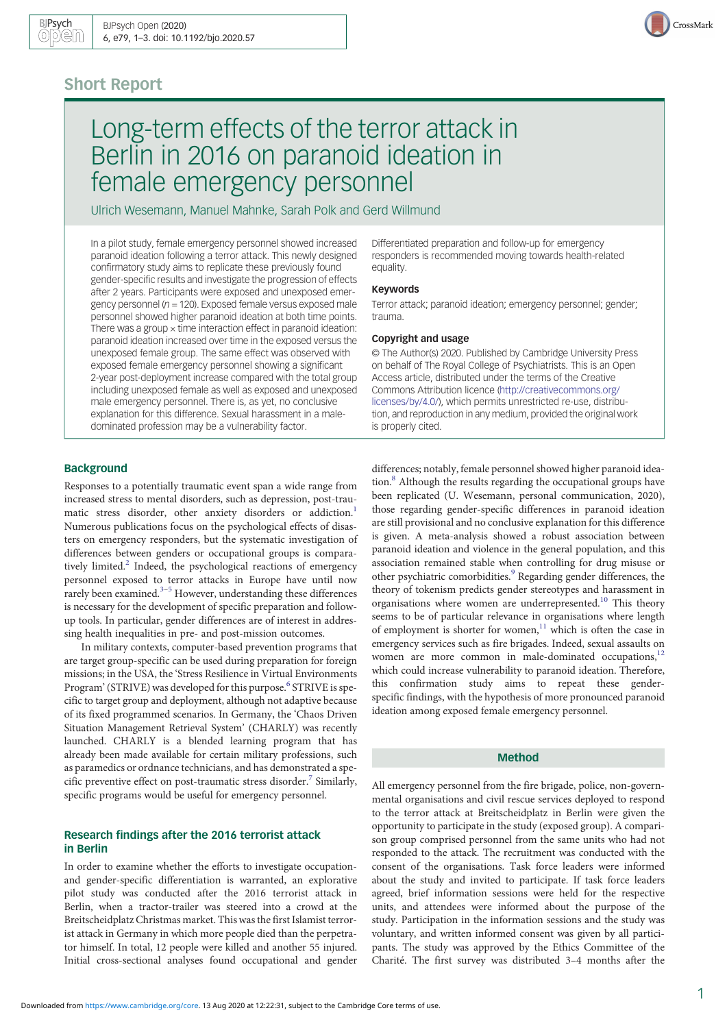# Short Report



Ulrich Wesemann, Manuel Mahnke, Sarah Polk and Gerd Willmund

In a pilot study, female emergency personnel showed increased paranoid ideation following a terror attack. This newly designed confirmatory study aims to replicate these previously found gender-specific results and investigate the progression of effects after 2 years. Participants were exposed and unexposed emergency personnel ( $n = 120$ ). Exposed female versus exposed male personnel showed higher paranoid ideation at both time points. There was a group  $\times$  time interaction effect in paranoid ideation: paranoid ideation increased over time in the exposed versus the unexposed female group. The same effect was observed with exposed female emergency personnel showing a significant 2-year post-deployment increase compared with the total group including unexposed female as well as exposed and unexposed male emergency personnel. There is, as yet, no conclusive explanation for this difference. Sexual harassment in a maledominated profession may be a vulnerability factor.

Differentiated preparation and follow-up for emergency responders is recommended moving towards health-related equality.

#### Keywords

Terror attack; paranoid ideation; emergency personnel; gender; trauma.

# Copyright and usage

© The Author(s) 2020. Published by Cambridge University Press on behalf of The Royal College of Psychiatrists. This is an Open Access article, distributed under the terms of the Creative Commons Attribution licence [\(http://creativecommons.org/](http://creativecommons.org/licenses/by/4.0/) [licenses/by/4.0/](http://creativecommons.org/licenses/by/4.0/)), which permits unrestricted re-use, distribution, and reproduction in any medium, provided the original work is properly cited.

#### **Background**

Responses to a potentially traumatic event span a wide range from increased stress to mental disorders, such as depression, post-trau-matic stress disorder, other anxiety disorders or addiction.<sup>[1](#page-2-0)</sup> Numerous publications focus on the psychological effects of disasters on emergency responders, but the systematic investigation of differences between genders or occupational groups is compara-tively limited.<sup>[2](#page-2-0)</sup> Indeed, the psychological reactions of emergency personnel exposed to terror attacks in Europe have until now rarely been examined.<sup>[3](#page-2-0)-[5](#page-2-0)</sup> However, understanding these differences is necessary for the development of specific preparation and followup tools. In particular, gender differences are of interest in addressing health inequalities in pre- and post-mission outcomes.

In military contexts, computer-based prevention programs that are target group-specific can be used during preparation for foreign missions; in the USA, the 'Stress Resilience in Virtual Environments Program' (STRIVE) was developed for this purpose.<sup>[6](#page-2-0)</sup> STRIVE is specific to target group and deployment, although not adaptive because of its fixed programmed scenarios. In Germany, the 'Chaos Driven Situation Management Retrieval System' (CHARLY) was recently launched. CHARLY is a blended learning program that has already been made available for certain military professions, such as paramedics or ordnance technicians, and has demonstrated a spe-cific preventive effect on post-traumatic stress disorder.<sup>[7](#page-2-0)</sup> Similarly, specific programs would be useful for emergency personnel.

# Research findings after the 2016 terrorist attack in Berlin

In order to examine whether the efforts to investigate occupationand gender-specific differentiation is warranted, an explorative pilot study was conducted after the 2016 terrorist attack in Berlin, when a tractor-trailer was steered into a crowd at the Breitscheidplatz Christmas market. This was the first Islamist terrorist attack in Germany in which more people died than the perpetrator himself. In total, 12 people were killed and another 55 injured. Initial cross-sectional analyses found occupational and gender

differences; notably, female personnel showed higher paranoid ideation.[8](#page-2-0) Although the results regarding the occupational groups have been replicated (U. Wesemann, personal communication, 2020), those regarding gender-specific differences in paranoid ideation are still provisional and no conclusive explanation for this difference is given. A meta-analysis showed a robust association between paranoid ideation and violence in the general population, and this association remained stable when controlling for drug misuse or other psychiatric comorbidities.<sup>[9](#page-2-0)</sup> Regarding gender differences, the theory of tokenism predicts gender stereotypes and harassment in organisations where women are underrepresented.<sup>[10](#page-2-0)</sup> This theory seems to be of particular relevance in organisations where length of employment is shorter for women, $11$  which is often the case in emergency services such as fire brigades. Indeed, sexual assaults on women are more common in male-dominated occupations,<sup>[12](#page-2-0)</sup> which could increase vulnerability to paranoid ideation. Therefore, this confirmation study aims to repeat these genderspecific findings, with the hypothesis of more pronounced paranoid ideation among exposed female emergency personnel.

#### Method

All emergency personnel from the fire brigade, police, non-governmental organisations and civil rescue services deployed to respond to the terror attack at Breitscheidplatz in Berlin were given the opportunity to participate in the study (exposed group). A comparison group comprised personnel from the same units who had not responded to the attack. The recruitment was conducted with the consent of the organisations. Task force leaders were informed about the study and invited to participate. If task force leaders agreed, brief information sessions were held for the respective units, and attendees were informed about the purpose of the study. Participation in the information sessions and the study was voluntary, and written informed consent was given by all participants. The study was approved by the Ethics Committee of the Charité. The first survey was distributed 3–4 months after the

CrossMark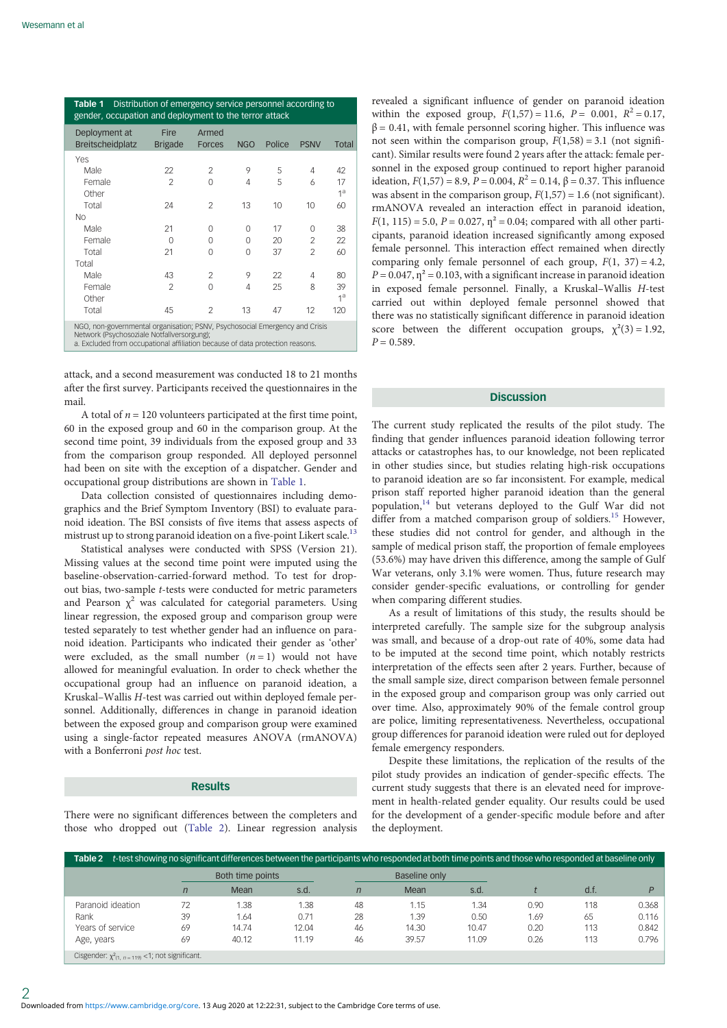| Distribution of emergency service personnel according to<br>Table 1<br>gender, occupation and deployment to the terror attack                                                                              |                        |                        |            |        |                          |                      |  |  |  |  |  |  |
|------------------------------------------------------------------------------------------------------------------------------------------------------------------------------------------------------------|------------------------|------------------------|------------|--------|--------------------------|----------------------|--|--|--|--|--|--|
| Deployment at<br><b>Breitscheidplatz</b>                                                                                                                                                                   | Fire<br><b>Brigade</b> | Armed<br><b>Forces</b> | <b>NGO</b> | Police | <b>PSNV</b>              | Total                |  |  |  |  |  |  |
| Yes                                                                                                                                                                                                        |                        |                        |            |        |                          |                      |  |  |  |  |  |  |
| Male                                                                                                                                                                                                       | 22                     | $\mathcal{P}$          | 9          | 5      | 4                        | 42                   |  |  |  |  |  |  |
| Female<br>Other                                                                                                                                                                                            | $\mathfrak{D}$         | O                      | 4          | 5      | 6                        | 17<br>1 <sup>a</sup> |  |  |  |  |  |  |
| Total                                                                                                                                                                                                      | 24                     | $\mathfrak{p}$         | 13         | 10     | 10                       | 60                   |  |  |  |  |  |  |
| N <sub>O</sub>                                                                                                                                                                                             |                        |                        |            |        |                          |                      |  |  |  |  |  |  |
| Male                                                                                                                                                                                                       | 21                     | O                      | O          | 17     | O                        | 38                   |  |  |  |  |  |  |
| Female                                                                                                                                                                                                     | 0                      | 0                      | $\Omega$   | 20     | $\mathfrak{D}$           | 22                   |  |  |  |  |  |  |
| Total                                                                                                                                                                                                      | 21                     | 0                      | $\Omega$   | 37     | $\overline{\phantom{a}}$ | 60                   |  |  |  |  |  |  |
| Total                                                                                                                                                                                                      |                        |                        |            |        |                          |                      |  |  |  |  |  |  |
| Male                                                                                                                                                                                                       | 43                     | $\mathcal{P}$          | 9          | 22     | 4                        | 80                   |  |  |  |  |  |  |
| Female<br>Other                                                                                                                                                                                            | $\mathfrak{D}$         | O                      | 4          | 25     | 8                        | 39<br>1 <sup>a</sup> |  |  |  |  |  |  |
| Total                                                                                                                                                                                                      | 45                     | $\mathfrak{D}$         | 13         | 47     | 12                       | 120                  |  |  |  |  |  |  |
| NGO, non-governmental organisation; PSNV, Psychosocial Emergency and Crisis<br>Network (Psychosoziale Notfallversorgung);<br>a. Excluded from occupational affiliation because of data protection reasons. |                        |                        |            |        |                          |                      |  |  |  |  |  |  |

attack, and a second measurement was conducted 18 to 21 months after the first survey. Participants received the questionnaires in the mail.

A total of  $n = 120$  volunteers participated at the first time point, 60 in the exposed group and 60 in the comparison group. At the second time point, 39 individuals from the exposed group and 33 from the comparison group responded. All deployed personnel had been on site with the exception of a dispatcher. Gender and occupational group distributions are shown in Table 1.

Data collection consisted of questionnaires including demographics and the Brief Symptom Inventory (BSI) to evaluate paranoid ideation. The BSI consists of five items that assess aspects of mistrust up to strong paranoid ideation on a five-point Likert scale.<sup>13</sup>

Statistical analyses were conducted with SPSS (Version 21). Missing values at the second time point were imputed using the baseline-observation-carried-forward method. To test for dropout bias, two-sample t-tests were conducted for metric parameters and Pearson  $\chi^2$  was calculated for categorial parameters. Using linear regression, the exposed group and comparison group were tested separately to test whether gender had an influence on paranoid ideation. Participants who indicated their gender as 'other' were excluded, as the small number  $(n = 1)$  would not have allowed for meaningful evaluation. In order to check whether the occupational group had an influence on paranoid ideation, a Kruskal–Wallis H-test was carried out within deployed female personnel. Additionally, differences in change in paranoid ideation between the exposed group and comparison group were examined using a single-factor repeated measures ANOVA (rmANOVA) with a Bonferroni post hoc test.

## Results

There were no significant differences between the completers and those who dropped out (Table 2). Linear regression analysis revealed a significant influence of gender on paranoid ideation within the exposed group,  $F(1,57) = 11.6$ ,  $P = 0.001$ ,  $R^2 = 0.17$ ,  $\beta$  = 0.41, with female personnel scoring higher. This influence was not seen within the comparison group,  $F(1,58) = 3.1$  (not significant). Similar results were found 2 years after the attack: female personnel in the exposed group continued to report higher paranoid ideation,  $F(1,57) = 8.9$ ,  $P = 0.004$ ,  $R^2 = 0.14$ ,  $\beta = 0.37$ . This influence was absent in the comparison group,  $F(1,57) = 1.6$  (not significant). rmANOVA revealed an interaction effect in paranoid ideation,  $F(1, 115) = 5.0$ ,  $P = 0.027$ ,  $\eta^2 = 0.04$ ; compared with all other participants, paranoid ideation increased significantly among exposed female personnel. This interaction effect remained when directly comparing only female personnel of each group,  $F(1, 37) = 4.2$ ,  $P = 0.047$ ,  $\eta^2 = 0.103$ , with a significant increase in paranoid ideation in exposed female personnel. Finally, a Kruskal–Wallis H-test carried out within deployed female personnel showed that there was no statistically significant difference in paranoid ideation score between the different occupation groups,  $\chi^2(3) = 1.92$ ,  $P = 0.589$ .

# **Discussion**

The current study replicated the results of the pilot study. The finding that gender influences paranoid ideation following terror attacks or catastrophes has, to our knowledge, not been replicated in other studies since, but studies relating high-risk occupations to paranoid ideation are so far inconsistent. For example, medical prison staff reported higher paranoid ideation than the general population,<sup>[14](#page-2-0)</sup> but veterans deployed to the Gulf War did not differ from a matched comparison group of soldiers.<sup>[15](#page-2-0)</sup> However, these studies did not control for gender, and although in the sample of medical prison staff, the proportion of female employees (53.6%) may have driven this difference, among the sample of Gulf War veterans, only 3.1% were women. Thus, future research may consider gender-specific evaluations, or controlling for gender when comparing different studies.

As a result of limitations of this study, the results should be interpreted carefully. The sample size for the subgroup analysis was small, and because of a drop-out rate of 40%, some data had to be imputed at the second time point, which notably restricts interpretation of the effects seen after 2 years. Further, because of the small sample size, direct comparison between female personnel in the exposed group and comparison group was only carried out over time. Also, approximately 90% of the female control group are police, limiting representativeness. Nevertheless, occupational group differences for paranoid ideation were ruled out for deployed female emergency responders.

Despite these limitations, the replication of the results of the pilot study provides an indication of gender-specific effects. The current study suggests that there is an elevated need for improvement in health-related gender equality. Our results could be used for the development of a gender-specific module before and after the deployment.

| t-test showing no significant differences between the participants who responded at both time points and those who responded at baseline only<br>Table 2 |    |                  |       |              |               |       |      |      |       |  |  |  |
|----------------------------------------------------------------------------------------------------------------------------------------------------------|----|------------------|-------|--------------|---------------|-------|------|------|-------|--|--|--|
|                                                                                                                                                          |    | Both time points |       |              | Baseline only |       |      |      |       |  |  |  |
|                                                                                                                                                          |    | Mean             | s.d.  | $\mathsf{n}$ | Mean          | s.d.  |      | d.f. |       |  |  |  |
| Paranoid ideation                                                                                                                                        |    | 1.38             | 1.38  | 48           | 1.15          | 1.34  | 0.90 | 118  | 0.368 |  |  |  |
| Rank                                                                                                                                                     | 39 | 1.64             | 0.71  | 28           | 1.39          | 0.50  | 1.69 | 65   | 0.116 |  |  |  |
| Years of service                                                                                                                                         | 69 | 14.74            | 12.04 | 46           | 14.30         | 10.47 | 0.20 | 113  | 0.842 |  |  |  |
| Age, years                                                                                                                                               | 69 | 40.12            | 11.19 | 46           | 39.57         | 11.09 | 0.26 | 113  | 0.796 |  |  |  |

Cisgender:  $\chi^2$ <sub>(1, n = 119)</sub> <1; not significant.

2